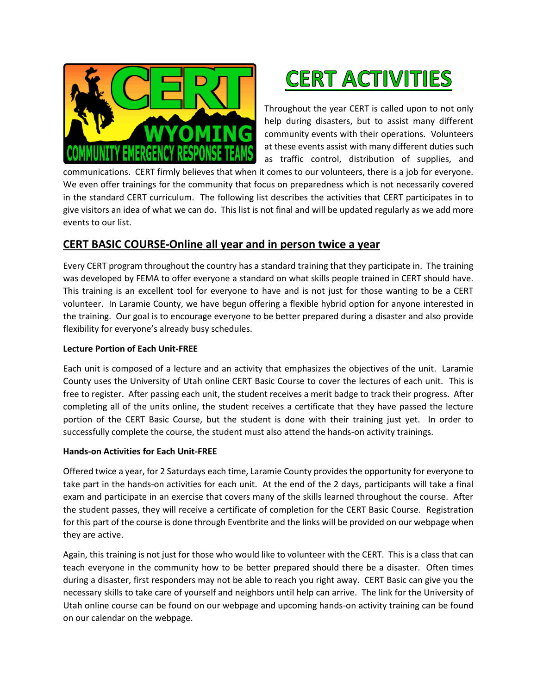



Throughout the year CERT is called upon to not only help during disasters, but to assist many different community events with their operations. Volunteers at these events assist with many different duties such as traffic control, distribution of supplies, and

communications. CERT firmly believes that when it comes to our volunteers, there is a job for everyone. We even offer trainings for the community that focus on preparedness which is not necessarily covered in the standard CERT curriculum. The following list describes the activities that CERT participates in to give visitors an idea of what we can do. This list is not final and will be updated regularly as we add more events to our list.

# **CERT BASIC COURSE-Online all year and in person twice a year**

Every CERT program throughout the country has a standard training that they participate in. The training was developed by FEMA to offer everyone a standard on what skills people trained in CERT should have. This training is an excellent tool for everyone to have and is not just for those wanting to be a CERT volunteer. In Laramie County, we have begun offering a flexible hybrid option for anyone interested in the training. Our goal is to encourage everyone to be better prepared during a disaster and also provide flexibility for everyone's already busy schedules.

#### **Lecture Portion of Each Unit-FREE**

Each unit is composed of a lecture and an activity that emphasizes the objectives of the unit. Laramie County uses the University of Utah online CERT Basic Course to cover the lectures of each unit. This is free to register. After passing each unit, the student receives a merit badge to track their progress. After completing all of the units online, the student receives a certificate that they have passed the lecture portion of the CERT Basic Course, but the student is done with their training just yet. In order to successfully complete the course, the student must also attend the hands-on activity trainings.

#### **Hands-on Activities for Each Unit-FREE**

Offered twice a year, for 2 Saturdays each time, Laramie County provides the opportunity for everyone to take part in the hands-on activities for each unit. At the end of the 2 days, participants will take a final exam and participate in an exercise that covers many of the skills learned throughout the course. After the student passes, they will receive a certificate of completion for the CERT Basic Course. Registration for this part of the course is done through Eventbrite and the links will be provided on our webpage when they are active.

Again, this training is not just for those who would like to volunteer with the CERT. This is a class that can teach everyone in the community how to be better prepared should there be a disaster. Often times during a disaster, first responders may not be able to reach you right away. CERT Basic can give you the necessary skills to take care of yourself and neighbors until help can arrive. The link for the University of Utah online course can be found on our webpage and upcoming hands-on activity training can be found on our calendar on the webpage.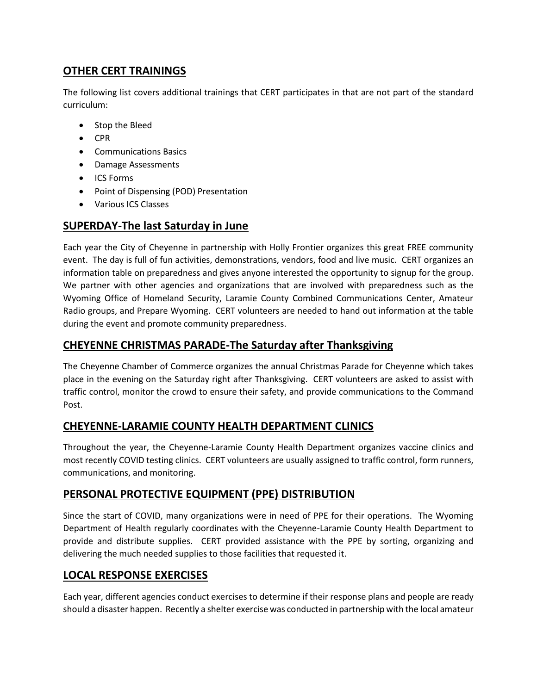# **OTHER CERT TRAININGS**

The following list covers additional trainings that CERT participates in that are not part of the standard curriculum:

- Stop the Bleed
- CPR
- Communications Basics
- Damage Assessments
- ICS Forms
- Point of Dispensing (POD) Presentation
- Various ICS Classes

# **SUPERDAY-The last Saturday in June**

Each year the City of Cheyenne in partnership with Holly Frontier organizes this great FREE community event. The day is full of fun activities, demonstrations, vendors, food and live music. CERT organizes an information table on preparedness and gives anyone interested the opportunity to signup for the group. We partner with other agencies and organizations that are involved with preparedness such as the Wyoming Office of Homeland Security, Laramie County Combined Communications Center, Amateur Radio groups, and Prepare Wyoming. CERT volunteers are needed to hand out information at the table during the event and promote community preparedness.

#### **CHEYENNE CHRISTMAS PARADE-The Saturday after Thanksgiving**

The Cheyenne Chamber of Commerce organizes the annual Christmas Parade for Cheyenne which takes place in the evening on the Saturday right after Thanksgiving. CERT volunteers are asked to assist with traffic control, monitor the crowd to ensure their safety, and provide communications to the Command Post.

### **CHEYENNE-LARAMIE COUNTY HEALTH DEPARTMENT CLINICS**

Throughout the year, the Cheyenne-Laramie County Health Department organizes vaccine clinics and most recently COVID testing clinics. CERT volunteers are usually assigned to traffic control, form runners, communications, and monitoring.

### **PERSONAL PROTECTIVE EQUIPMENT (PPE) DISTRIBUTION**

Since the start of COVID, many organizations were in need of PPE for their operations. The Wyoming Department of Health regularly coordinates with the Cheyenne-Laramie County Health Department to provide and distribute supplies. CERT provided assistance with the PPE by sorting, organizing and delivering the much needed supplies to those facilities that requested it.

### **LOCAL RESPONSE EXERCISES**

Each year, different agencies conduct exercises to determine if their response plans and people are ready should a disaster happen. Recently a shelter exercise was conducted in partnership with the local amateur